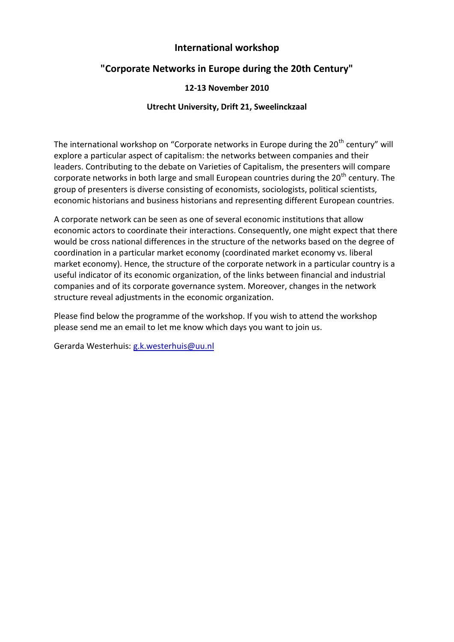## **International workshop**

# **"Corporate Networks in Europe during the 20th Century"**

### **12-13 November 2010**

### **Utrecht University, Drift 21, Sweelinckzaal**

The international workshop on "Corporate networks in Europe during the  $20<sup>th</sup>$  century" will explore a particular aspect of capitalism: the networks between companies and their leaders. Contributing to the debate on Varieties of Capitalism, the presenters will compare corporate networks in both large and small European countries during the 20<sup>th</sup> century. The group of presenters is diverse consisting of economists, sociologists, political scientists, economic historians and business historians and representing different European countries.

A corporate network can be seen as one of several economic institutions that allow economic actors to coordinate their interactions. Consequently, one might expect that there would be cross national differences in the structure of the networks based on the degree of coordination in a particular market economy (coordinated market economy vs. liberal market economy). Hence, the structure of the corporate network in a particular country is a useful indicator of its economic organization, of the links between financial and industrial companies and of its corporate governance system. Moreover, changes in the network structure reveal adjustments in the economic organization.

Please find below the programme of the workshop. If you wish to attend the workshop please send me an email to let me know which days you want to join us.

Gerarda Westerhuis: [g.k.westerhuis@uu.nl](mailto:g.k.westerhuis@uu.nl)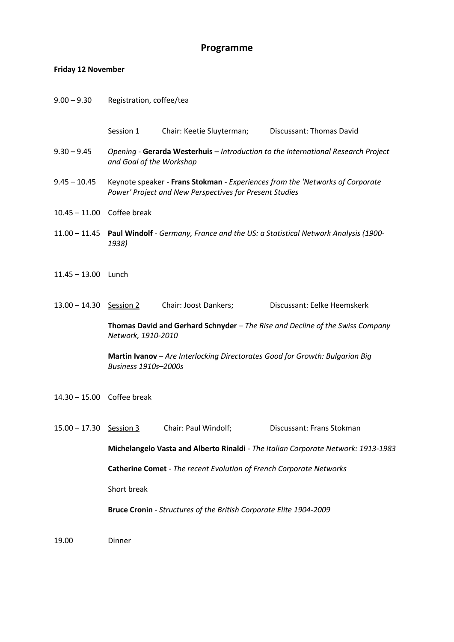#### **Programme**

#### **Friday 12 November**

- 9.00 9.30 Registration, coffee/tea
	- Session 1 Chair: Keetie Sluyterman; Discussant: Thomas David
- 9.30 9.45 *Opening* **Gerarda Westerhuis** *Introduction to the International Research Project and Goal of the Workshop*
- 9.45 10.45 Keynote speaker **Frans Stokman** *Experiences from the 'Networks of Corporate Power' Project and New Perspectives for Present Studies*
- 10.45 11.00 Coffee break
- 11.00 11.45 **Paul Windolf** *Germany, France and the US: a Statistical Network Analysis (1900- 1938)*
- 11.45 13.00 Lunch
- 13.00 14.30 Session 2 Chair: Joost Dankers; Discussant: Eelke Heemskerk

**Thomas David and Gerhard Schnyder** *– The Rise and Decline of the Swiss Company Network, 1910-2010*

**Martin Ivanov** – *Are Interlocking Directorates Good for Growth: Bulgarian Big Business 1910s–2000s*

- 14.30 15.00 Coffee break
- 15.00 17.30 Session 3 Chair: Paul Windolf; Discussant: Frans Stokman **Michelangelo Vasta and Alberto Rinaldi** - *The Italian Corporate Network: 1913-1983* **Catherine Comet** - *The recent Evolution of French Corporate Networks* Short break **Bruce Cronin** - *Structures of the British Corporate Elite 1904-2009*

19.00 Dinner